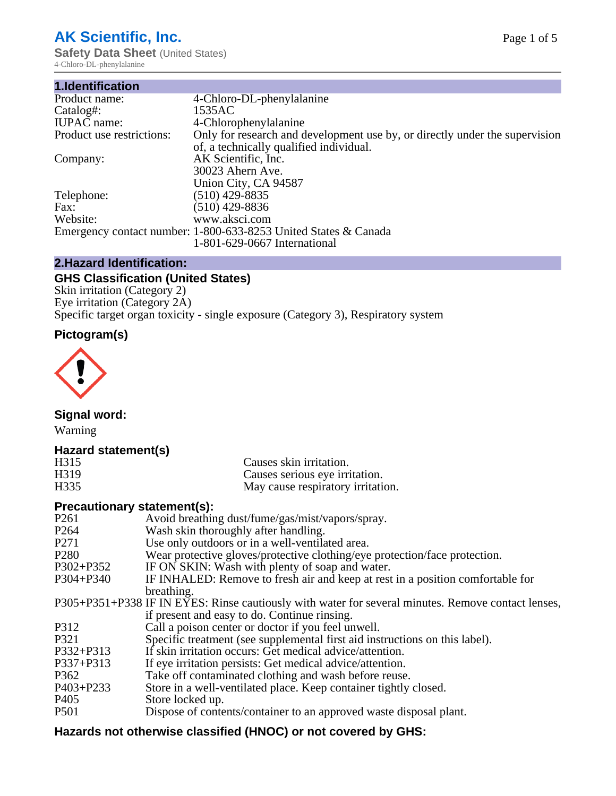# **AK Scientific, Inc.**

**Safety Data Sheet (United States)** 4-Chloro-DL-phenylalanine

| 1.Identification          |                                                                                                                        |
|---------------------------|------------------------------------------------------------------------------------------------------------------------|
| Product name:             | 4-Chloro-DL-phenylalanine                                                                                              |
| Catalog#:                 | 1535AC                                                                                                                 |
| <b>IUPAC</b> name:        | 4-Chlorophenylalanine                                                                                                  |
| Product use restrictions: | Only for research and development use by, or directly under the supervision<br>of, a technically qualified individual. |
| Company:                  | AK Scientific, Inc.                                                                                                    |
|                           | 30023 Ahern Ave.                                                                                                       |
|                           | Union City, CA 94587                                                                                                   |
| Telephone:                | $(510)$ 429-8835                                                                                                       |
| Fax:                      | (510) 429-8836                                                                                                         |
| Website:                  | www.aksci.com                                                                                                          |
|                           | Emergency contact number: 1-800-633-8253 United States & Canada                                                        |
|                           | 1-801-629-0667 International                                                                                           |

# **2.Hazard Identification:**

# **GHS Classification (United States)**

Skin irritation (Category 2) Eye irritation (Category 2A) Specific target organ toxicity - single exposure (Category 3), Respiratory system

# **Pictogram(s)**



**Signal word:**

Warning

# **Hazard statement(s)**

| H <sub>315</sub>  | Causes skin irritation.           |
|-------------------|-----------------------------------|
| H <sub>3</sub> 19 | Causes serious eye irritation.    |
| H335              | May cause respiratory irritation. |

# **Precautionary statement(s):**

| P <sub>261</sub> | Avoid breathing dust/fume/gas/mist/vapors/spray.                                                   |
|------------------|----------------------------------------------------------------------------------------------------|
| P <sub>264</sub> | Wash skin thoroughly after handling.                                                               |
| P <sub>271</sub> | Use only outdoors or in a well-ventilated area.                                                    |
| P <sub>280</sub> | Wear protective gloves/protective clothing/eye protection/face protection.                         |
| P302+P352        | IF ON SKIN: Wash with plenty of soap and water.                                                    |
| $P304 + P340$    | IF INHALED: Remove to fresh air and keep at rest in a position comfortable for                     |
|                  | breathing.                                                                                         |
|                  | P305+P351+P338 IF IN EYES: Rinse cautiously with water for several minutes. Remove contact lenses, |
|                  | if present and easy to do. Continue rinsing.                                                       |
| P312             | Call a poison center or doctor if you feel unwell.                                                 |
| P321             | Specific treatment (see supplemental first aid instructions on this label).                        |
| P332+P313        | If skin irritation occurs: Get medical advice/attention.                                           |
| P337+P313        | If eye irritation persists: Get medical advice/attention.                                          |
| P362             | Take off contaminated clothing and wash before reuse.                                              |
| $P403 + P233$    | Store in a well-ventilated place. Keep container tightly closed.                                   |
| P <sub>405</sub> | Store locked up.                                                                                   |
| P <sub>501</sub> | Dispose of contents/container to an approved waste disposal plant.                                 |
|                  |                                                                                                    |

# **Hazards not otherwise classified (HNOC) or not covered by GHS:**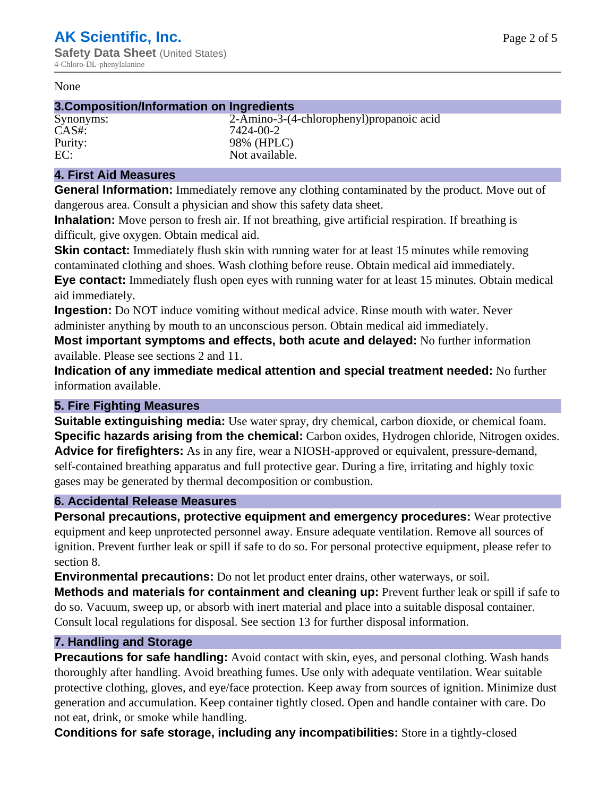#### None

#### **3.Composition/Information on Ingredients**

Synonyms: 2-Amino-3-(4-chlorophenyl)propanoic acid CAS#: 7424-00-2 Purity: 98% (HPLC)<br>EC: Not available. Not available.

#### **4. First Aid Measures**

**General Information:** Immediately remove any clothing contaminated by the product. Move out of dangerous area. Consult a physician and show this safety data sheet.

**Inhalation:** Move person to fresh air. If not breathing, give artificial respiration. If breathing is difficult, give oxygen. Obtain medical aid.

**Skin contact:** Immediately flush skin with running water for at least 15 minutes while removing contaminated clothing and shoes. Wash clothing before reuse. Obtain medical aid immediately. **Eye contact:** Immediately flush open eyes with running water for at least 15 minutes. Obtain medical aid immediately.

**Ingestion:** Do NOT induce vomiting without medical advice. Rinse mouth with water. Never administer anything by mouth to an unconscious person. Obtain medical aid immediately.

**Most important symptoms and effects, both acute and delayed:** No further information available. Please see sections 2 and 11.

**Indication of any immediate medical attention and special treatment needed:** No further information available.

#### **5. Fire Fighting Measures**

**Suitable extinguishing media:** Use water spray, dry chemical, carbon dioxide, or chemical foam. **Specific hazards arising from the chemical:** Carbon oxides, Hydrogen chloride, Nitrogen oxides. **Advice for firefighters:** As in any fire, wear a NIOSH-approved or equivalent, pressure-demand, self-contained breathing apparatus and full protective gear. During a fire, irritating and highly toxic gases may be generated by thermal decomposition or combustion.

#### **6. Accidental Release Measures**

**Personal precautions, protective equipment and emergency procedures:** Wear protective equipment and keep unprotected personnel away. Ensure adequate ventilation. Remove all sources of ignition. Prevent further leak or spill if safe to do so. For personal protective equipment, please refer to section 8.

**Environmental precautions:** Do not let product enter drains, other waterways, or soil.

**Methods and materials for containment and cleaning up:** Prevent further leak or spill if safe to do so. Vacuum, sweep up, or absorb with inert material and place into a suitable disposal container. Consult local regulations for disposal. See section 13 for further disposal information.

#### **7. Handling and Storage**

**Precautions for safe handling:** Avoid contact with skin, eyes, and personal clothing. Wash hands thoroughly after handling. Avoid breathing fumes. Use only with adequate ventilation. Wear suitable protective clothing, gloves, and eye/face protection. Keep away from sources of ignition. Minimize dust generation and accumulation. Keep container tightly closed. Open and handle container with care. Do not eat, drink, or smoke while handling.

**Conditions for safe storage, including any incompatibilities:** Store in a tightly-closed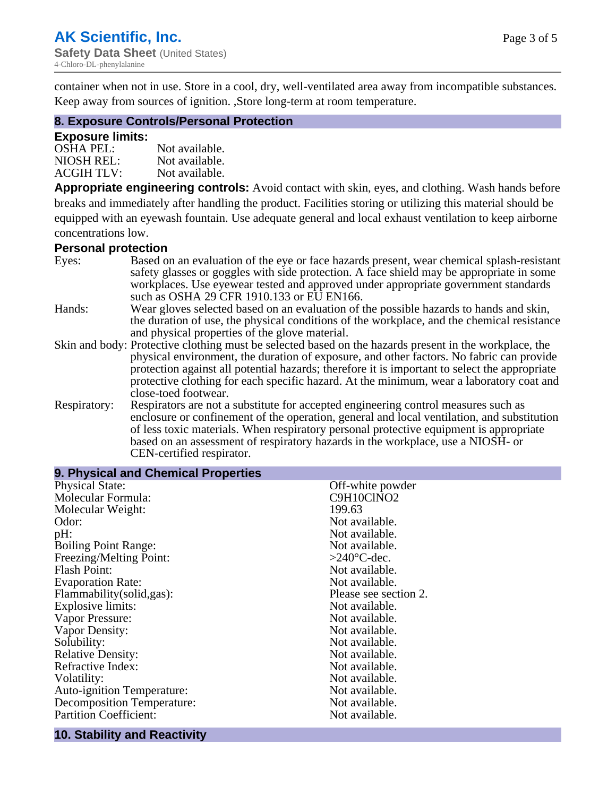container when not in use. Store in a cool, dry, well-ventilated area away from incompatible substances. Keep away from sources of ignition. ,Store long-term at room temperature.

#### **8. Exposure Controls/Personal Protection**

#### **Exposure limits:**

| <b>OSHA PEL:</b>  | Not available. |
|-------------------|----------------|
| NIOSH REL:        | Not available. |
| <b>ACGIH TLV:</b> | Not available. |

**Appropriate engineering controls:** Avoid contact with skin, eyes, and clothing. Wash hands before breaks and immediately after handling the product. Facilities storing or utilizing this material should be equipped with an eyewash fountain. Use adequate general and local exhaust ventilation to keep airborne concentrations low.

#### **Personal protection**

| Eyes:        | Based on an evaluation of the eye or face hazards present, wear chemical splash-resistant<br>safety glasses or goggles with side protection. A face shield may be appropriate in some |
|--------------|---------------------------------------------------------------------------------------------------------------------------------------------------------------------------------------|
|              | workplaces. Use eyewear tested and approved under appropriate government standards<br>such as OSHA 29 CFR 1910.133 or EU EN166.                                                       |
| Hands:       | Wear gloves selected based on an evaluation of the possible hazards to hands and skin,                                                                                                |
|              | the duration of use, the physical conditions of the workplace, and the chemical resistance                                                                                            |
|              | and physical properties of the glove material.                                                                                                                                        |
|              | Skin and body: Protective clothing must be selected based on the hazards present in the workplace, the                                                                                |
|              | physical environment, the duration of exposure, and other factors. No fabric can provide                                                                                              |
|              | protection against all potential hazards; therefore it is important to select the appropriate                                                                                         |
|              | protective clothing for each specific hazard. At the minimum, wear a laboratory coat and                                                                                              |
|              | close-toed footwear.                                                                                                                                                                  |
| Respiratory: | Respirators are not a substitute for accepted engineering control measures such as<br>enclosure or confinement of the operation, general and local ventilation, and substitution      |
|              | of less toxic materials. When respiratory personal protective equipment is appropriate                                                                                                |
|              | based on an assessment of respiratory hazards in the workplace, use a NIOSH- or                                                                                                       |
|              | CEN-certified respirator.                                                                                                                                                             |

| 9. Physical and Chemical Properties |                       |
|-------------------------------------|-----------------------|
| <b>Physical State:</b>              | Off-white powder      |
| Molecular Formula:                  | C9H10ClNO2            |
| Molecular Weight:                   | 199.63                |
| Odor:                               | Not available.        |
| pH:                                 | Not available.        |
| <b>Boiling Point Range:</b>         | Not available.        |
| Freezing/Melting Point:             | $>240^{\circ}$ C-dec. |
| <b>Flash Point:</b>                 | Not available.        |
| <b>Evaporation Rate:</b>            | Not available.        |
| Flammability (solid, gas):          | Please see section 2. |
| <b>Explosive limits:</b>            | Not available.        |
| Vapor Pressure:                     | Not available.        |
| Vapor Density:                      | Not available.        |
| Solubility:                         | Not available.        |
| <b>Relative Density:</b>            | Not available.        |
| Refractive Index:                   | Not available.        |
| Volatility:                         | Not available.        |
| <b>Auto-ignition Temperature:</b>   | Not available.        |
| <b>Decomposition Temperature:</b>   | Not available.        |
| <b>Partition Coefficient:</b>       | Not available.        |

# **10. Stability and Reactivity**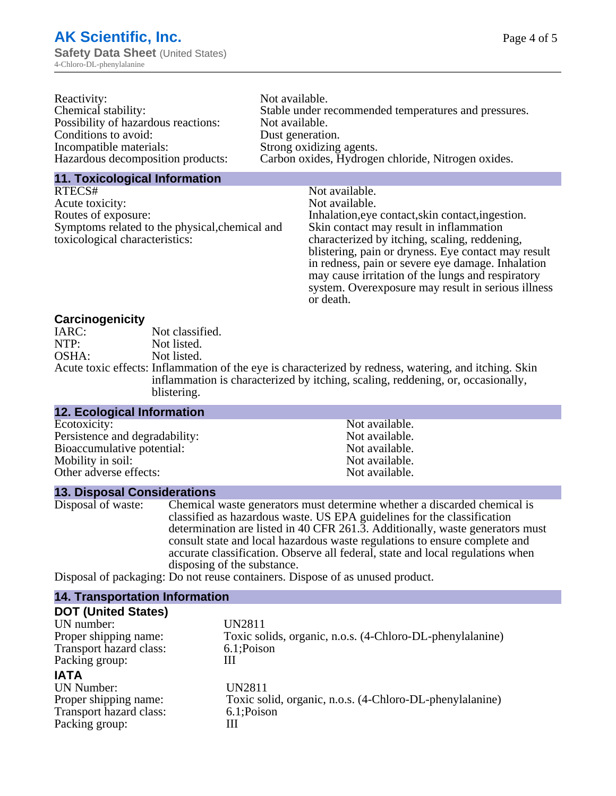| Stable under recommended temperatures and pressures. |
|------------------------------------------------------|
|                                                      |
|                                                      |
|                                                      |
|                                                      |
|                                                      |

# **11. Toxicological Information**

| RTECS#                                         | Not available.                                      |
|------------------------------------------------|-----------------------------------------------------|
| Acute toxicity:                                | Not available.                                      |
| Routes of exposure:                            | Inhalation, eye contact, skin contact, ingestion.   |
| Symptoms related to the physical, chemical and | Skin contact may result in inflammation             |
| toxicological characteristics:                 | characterized by itching, scaling, reddening,       |
|                                                | blistering, pain or dryness. Eye contact may result |
|                                                | in redness, pain or severe eye damage. Inhalation   |
|                                                | may cause irritation of the lungs and respiratory   |
|                                                | system. Overexposure may result in serious illness  |

or death.

# **Carcinogenicity**

| IARC: | Not classified.                                                                                      |
|-------|------------------------------------------------------------------------------------------------------|
| NTP:  | Not listed.                                                                                          |
| OSHA: | Not listed.                                                                                          |
|       | Acute toxic effects: Inflammation of the eye is characterized by redness, watering, and itching. Ski |
|       | inflammation is characterized by itching, scaling, reddening, or, occasionally,                      |
|       | blistering.                                                                                          |

| <b>12. Ecological Information</b> |                |  |
|-----------------------------------|----------------|--|
| Ecotoxicity:                      | Not available. |  |
| Persistence and degradability:    | Not available. |  |
| Bioaccumulative potential:        | Not available. |  |
| Mobility in soil:                 | Not available. |  |
| Other adverse effects:            | Not available. |  |

#### **13. Disposal Considerations**

| Disposal of waste: | Chemical waste generators must determine whether a discarded chemical is       |
|--------------------|--------------------------------------------------------------------------------|
|                    | classified as hazardous waste. US EPA guidelines for the classification        |
|                    | determination are listed in 40 CFR 261.3. Additionally, waste generators must  |
|                    | consult state and local hazardous waste regulations to ensure complete and     |
|                    | accurate classification. Observe all federal, state and local regulations when |
|                    | disposing of the substance.                                                    |
|                    | Dienseel of neckesing De not nouse containers. Dienses of as unused nucleat-   |

Disposal of packaging: Do not reuse containers. Dispose of as unused product.

#### **14. Transportation Information**

| <b>DOT (United States)</b> |                                                           |
|----------------------------|-----------------------------------------------------------|
| UN number:                 | UN2811                                                    |
| Proper shipping name:      | Toxic solids, organic, n.o.s. (4-Chloro-DL-phenylalanine) |
| Transport hazard class:    | 6.1;Poison                                                |
| Packing group:             | Ш                                                         |
| <b>IATA</b>                |                                                           |
| <b>UN Number:</b>          | UN2811                                                    |
| Proper shipping name:      | Toxic solid, organic, n.o.s. (4-Chloro-DL-phenylalanine)  |
| Transport hazard class:    | 6.1;Poison                                                |
| Packing group:             | Ш                                                         |
|                            |                                                           |